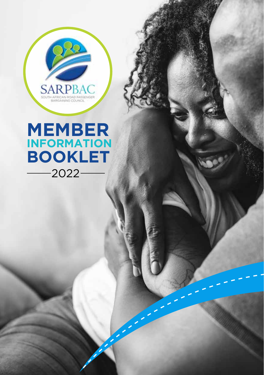

### **MEMBER INFORMATION BOOKLET** 2022

Member 2022 12:20 and 2022 12:20 and 2022 12:20 and 2022 12:20 and 2022 12:20 and 2022 12:20 and 2022 12:20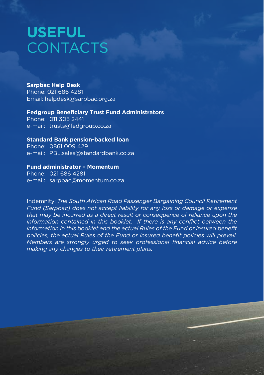### **USEFUL CONTACTS**

#### **Sarpbac Help Desk**

Phone: 021 686 4281 Email: helpdesk@sarpbac.org.za

### **Fedgroup Beneficiary Trust Fund Administrators**

Phone: 011 305 2441 e-mail: trusts@fedgroup.co.za

### **Standard Bank pension-backed loan**

Phone: 0861 009 429 e-mail: PBL.sales@standardbank.co.za

### **Fund administrator – Momentum**

Phone: 021 686 4281 e-mail: sarpbac@momentum.co.za

Indemnity: *The South African Road Passenger Bargaining Council Retirement Fund (Sarpbac) does not accept liability for any loss or damage or expense that may be incurred as a direct result or consequence of reliance upon the information contained in this booklet. If there is any conflict between the information in this booklet and the actual Rules of the Fund or insured benefit policies, the actual Rules of the Fund or insured benefit policies will prevail. Members are strongly urged to seek professional financial advice before making any changes to their retirement plans.*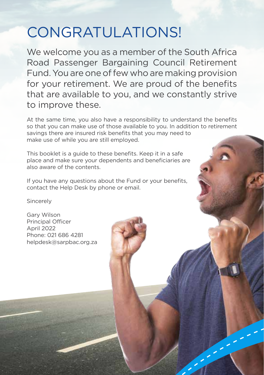### CONGRATULATIONS!

We welcome you as a member of the South Africa Road Passenger Bargaining Council Retirement Fund. You are one of few who are making provision for your retirement. We are proud of the benefits that are available to you, and we constantly strive to improve these.

At the same time, you also have a responsibility to understand the benefits so that you can make use of those available to you. In addition to retirement savings there are insured risk benefits that you may need to make use of while you are still employed.

Member 2022 31

This booklet is a guide to these benefits. Keep it in a safe place and make sure your dependents and beneficiaries are also aware of the contents.

If you have any questions about the Fund or your benefits, contact the Help Desk by phone or email.

Sincerely

Gary Wilson Principal Officer April 2022 Phone: 021 686 4281 helpdesk@sarpbac.org.za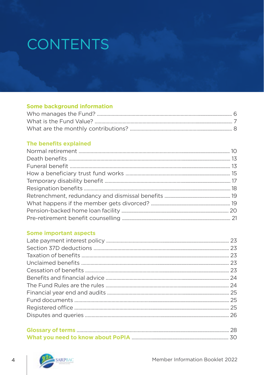## CONTENTS

### **Some background information**

### The benefits explained

### **Some important aspects**

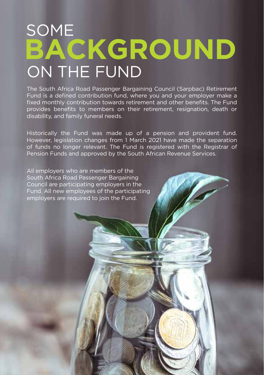## **BACKGROUND** ON THE FUND SOME

The South Africa Road Passenger Bargaining Council (Sarpbac) Retirement Fund is a defined contribution fund, where you and your employer make a fixed monthly contribution towards retirement and other benefits. The Fund provides benefits to members on their retirement, resignation, death or disability, and family funeral needs.

Historically the Fund was made up of a pension and provident fund. However, legislation changes from 1 March 2021 have made the separation of funds no longer relevant. The Fund is registered with the Registrar of Pension Funds and approved by the South African Revenue Services.

Member 2022 5 and 2022 5 and 2022 5 and 2022 5 and 2022 5 and 2022 5 and 2022 5 and 2022 5 and 2022 5 and 2022

All employers who are members of the South Africa Road Passenger Bargaining Council are participating employers in the Fund. All new employees of the participating employers are required to join the Fund.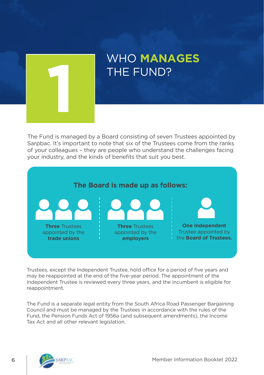

# WHO **MANAGES**

The Fund is managed by a Board consisting of seven Trustees appointed by Sarpbac. It's important to note that six of the Trustees come from the ranks of your colleagues – they are people who understand the challenges facing your industry, and the kinds of benefits that suit you best.



Trustees, except the Independent Trustee, hold office for a period of five years and may be reappointed at the end of the five-year period. The appointment of the Independent Trustee is reviewed every three years, and the incumbent is eligible for reappointment.

The Fund is a separate legal entity from the South Africa Road Passenger Bargaining Council and must be managed by the Trustees in accordance with the rules of the Fund, the Pension Funds Act of 1956a (and subsequent amendments), the Income Tax Act and all other relevant legislation.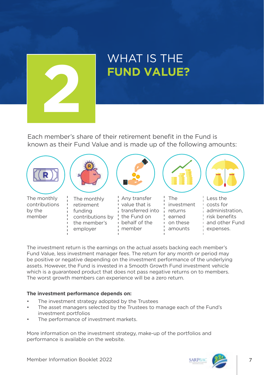

# WHAT IS THE

Each member's share of their retirement benefit in the Fund is known as their Fund Value and is made up of the following amounts:



The investment return is the earnings on the actual assets backing each member's Fund Value, less investment manager fees. The return for any month or period may be positive or negative depending on the investment performance of the underlying assets. However, the Fund is invested in a Smooth Growth Fund investment vehicle which is a guaranteed product that does not pass negative returns on to members. The worst growth members can experience will be a zero return.

### **The investment performance depends on:**

- The investment strategy adopted by the Trustees
- The asset managers selected by the Trustees to manage each of the Fund's investment portfolios
- The performance of investment markets.

More information on the investment strategy, make-up of the portfolios and performance is available on the website.

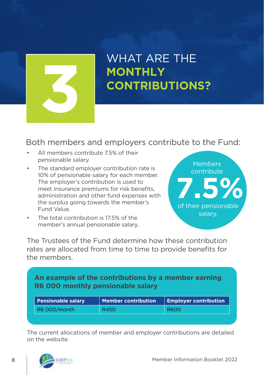

## WHAT ARE THE **MONTHLY**

### Both members and employers contribute to the Fund:

- All members contribute 7.5% of their pensionable salary.
- The standard employer contribution rate is 10% of pensionable salary for each member. The employer's contribution is used to meet insurance premiums for risk benefits, administration and other fund expenses with the surplus going towards the member's Fund Value.
- The total contribution is 17.5% of the member's annual pensionable salary.



The Trustees of the Fund determine how these contribution rates are allocated from time to time to provide benefits for the members.

### **An example of the contributions by a member earning R6 000 monthly pensionable salary**

| <b>Pensionable salary</b> | Member contribution | <b>Employer contribution</b> |
|---------------------------|---------------------|------------------------------|
| R6 000/month              | R450                | <b>R600</b>                  |

The current allocations of member and employer contributions are detailed on the website.

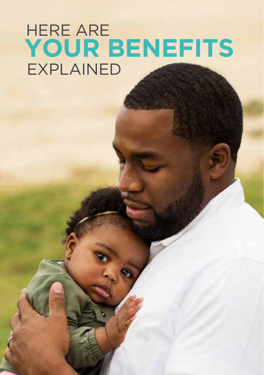## **YOUR BENEFITS**  EXPLAINED HERE ARE

Member 2022 9. The control of the control of the control of the control of the control of the control of the control of the control of the control of the control of the control of the control of the control of the control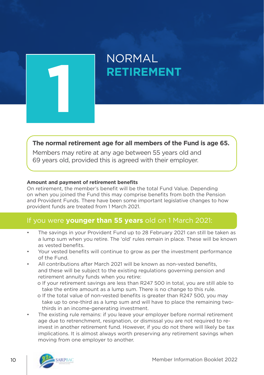

### **The normal retirement age for all members of the Fund is age 65.**

Members may retire at any age between 55 years old and 69 years old, provided this is agreed with their employer.

#### **Amount and payment of retirement benefits**

On retirement, the member's benefit will be the total Fund Value. Depending on when you joined the Fund this may comprise benefits from both the Pension and Provident Funds. There have been some important legislative changes to how provident funds are treated from 1 March 2021.

### If you were **younger than 55 years** old on 1 March 2021:

- The savings in your Provident Fund up to 28 February 2021 can still be taken as a lump sum when you retire. The 'old' rules remain in place. These will be known as vested benefits.
- Your vested benefits will continue to grow as per the investment performance of the Fund.
- All contributions after March 2021 will be known as non-vested benefits. and these will be subject to the existing regulations governing pension and retirement annuity funds when you retire:
	- o If your retirement savings are less than R247 500 in total, you are still able to take the entire amount as a lump sum. There is no change to this rule.
	- o If the total value of non-vested benefits is greater than R247 500, you may take up to one-third as a lump sum and will have to place the remaining two thirds in an income-generating investment.
- The existing rule remains: if you leave your employer before normal retirement age due to retrenchment, resignation, or dismissal you are not required to reinvest in another retirement fund. However, if you do not there will likely be tax implications. It is almost always worth preserving any retirement savings when moving from one employer to another.

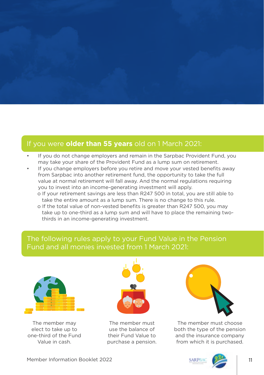

### If you were **older than 55 years** old on 1 March 2021:

- If you do not change employers and remain in the Sarpbac Provident Fund, you may take your share of the Provident Fund as a lump sum on retirement.
- If you change employers before you retire and move your vested benefits away from Sarpbac into another retirement fund, the opportunity to take the full value at normal retirement will fall away. And the normal regulations requiring you to invest into an income-generating investment will apply. o If your retirement savings are less than R247 500 in total, you are still able to
	- take the entire amount as a lump sum. There is no change to this rule.
	- o If the total value of non-vested benefits is greater than R247 500, you may take up to one-third as a lump sum and will have to place the remaining two thirds in an income-generating investment.

### The following rules apply to your Fund Value in the Pension Fund and all monies invested from 1 March 2021:



The member may elect to take up to one-third of the Fund Value in cash.



The member must use the balance of their Fund Value to purchase a pension.



The member must choose both the type of the pension and the insurance company from which it is purchased.

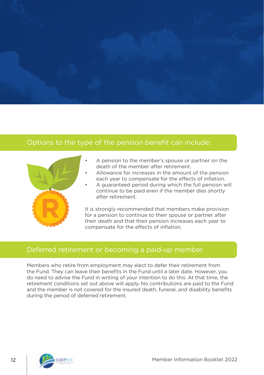

### Options to the type of the pension benefit can include:

- A pension to the member's spouse or partner on the death of the member after retirement.
- Allowance for increases in the amount of the pension each year to compensate for the effects of inflation.
- A guaranteed period during which the full pension will continue to be paid even if the member dies shortly after retirement.

It is strongly recommended that members make provision for a pension to continue to their spouse or partner after their death and that their pension increases each year to compensate for the effects of inflation.

### Deferred retirement or becoming a paid-up member

Members who retire from employment may elect to defer their retirement from the Fund. They can leave their benefits in the Fund until a later date. However, you do need to advise the Fund in writing of your intention to do this. At that time, the retirement conditions set out above will apply. No contributions are paid to the Fund and the member is not covered for the insured death, funeral, and disability benefits during the period of deferred retirement.

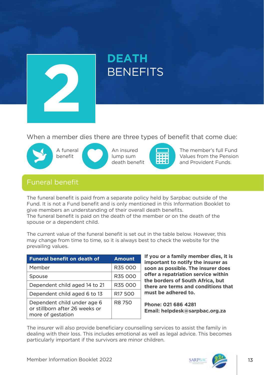

# **DEATH**

When a member dies there are three types of benefit that come due:





An insured lump sum death benefit



The member's full Fund Values from the Pension and Provident Funds.

### Funeral benefit

The funeral benefit is paid from a separate policy held by Sarpbac outside of the Fund. It is not a Fund benefit and is only mentioned in this Information Booklet to give members an understanding of their overall death benefits. The funeral benefit is paid on the death of the member or on the death of the spouse or a dependent child.

The current value of the funeral benefit is set out in the table below. However, this may change from time to time, so it is always best to check the website for the prevailing values.

| <b>Funeral benefit on death of</b>                                                 | Amount              |
|------------------------------------------------------------------------------------|---------------------|
| Member                                                                             | R35 000             |
| Spouse                                                                             | R35 000             |
| Dependent child aged 14 to 21                                                      | R35 000             |
| Dependent child aged 6 to 13                                                       | R <sub>17</sub> 500 |
| Dependent child under age 6<br>or stillborn after 26 weeks or<br>more of gestation | R8 750              |

**If you or a family member dies, it is important to notify the insurer as soon as possible. The insurer does offer a repatriation service within the borders of South Africa, but there are terms and conditions that must be adhered to.**

**Phone: 021 686 4281 Email: helpdesk@sarpbac.org.za**

The insurer will also provide beneficiary counselling services to assist the family in dealing with their loss. This includes emotional as well as legal advice. This becomes particularly important if the survivors are minor children.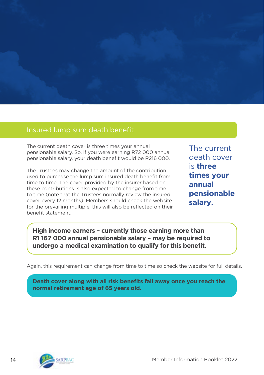

### Insured lump sum death benefit

The current death cover is three times your annual pensionable salary. So, if you were earning R72 000 annual pensionable salary, your death benefit would be R216 000.

The Trustees may change the amount of the contribution used to purchase the lump sum insured death benefit from time to time. The cover provided by the insurer based on these contributions is also expected to change from time to time (note that the Trustees normally review the insured cover every 12 months). Members should check the website for the prevailing multiple, this will also be reflected on their benefit statement.

The current death cover is **three times your annual pensionable salary.**

**High income earners – currently those earning more than R1 167 000 annual pensionable salary – may be required to undergo a medical examination to qualify for this benefit.** 

Again, this requirement can change from time to time so check the website for full details.

**Death cover along with all risk benefits fall away once you reach the normal retirement age of 65 years old.**

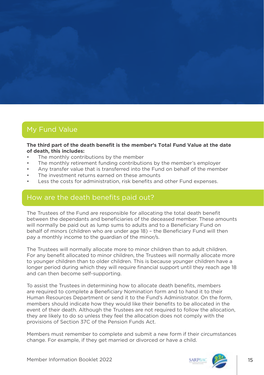### My Fund Value

#### **The third part of the death benefit is the member's Total Fund Value at the date of death, this includes:**

- The monthly contributions by the member
- The monthly retirement funding contributions by the member's employer
- Any transfer value that is transferred into the Fund on behalf of the member
- The investment returns earned on these amounts
- Less the costs for administration, risk benefits and other Fund expenses.

### How are the death benefits paid out?

The Trustees of the Fund are responsible for allocating the total death benefit between the dependants and beneficiaries of the deceased member. These amounts will normally be paid out as lump sums to adults and to a Beneficiary Fund on behalf of minors (children who are under age 18) – the Beneficiary Fund will then pay a monthly income to the guardian of the minor/s.

The Trustees will normally allocate more to minor children than to adult children. For any benefit allocated to minor children, the Trustees will normally allocate more to younger children than to older children. This is because younger children have a longer period during which they will require financial support until they reach age 18 and can then become self-supporting.

To assist the Trustees in determining how to allocate death benefits, members are required to complete a Beneficiary Nomination form and to hand it to their Human Resources Department or send it to the Fund's Administrator. On the form, members should indicate how they would like their benefits to be allocated in the event of their death. Although the Trustees are not required to follow the allocation, they are likely to do so unless they feel the allocation does not comply with the provisions of Section 37C of the Pension Funds Act.

Members must remember to complete and submit a new form if their circumstances change. For example, if they get married or divorced or have a child.

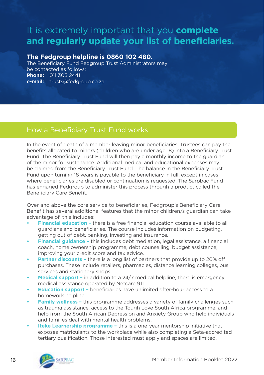### It is extremely important that you **complete and regularly update your list of beneficiaries.**

### **The Fedgroup helpline is 0860 102 480.**

The Beneficiary Fund Fedgroup Trust Administrators may be contacted as follows: **Phone:** 011 305 2441 **e-mail:** trusts@fedgroup.co.za

In the event of death of a member leaving minor beneficiaries, Trustees can pay the benefits allocated to minors (children who are under age 18) into a Beneficiary Trust Fund. The Beneficiary Trust Fund will then pay a monthly income to the guardian of the minor for sustenance. Additional medical and educational expenses may be claimed from the Beneficiary Trust Fund. The balance in the Beneficiary Trust Fund upon turning 18 years is payable to the beneficiary in full, except in cases where beneficiaries are disabled or continuation is requested. The Sarpbac Fund has engaged Fedgroup to administer this process through a product called the Beneficiary Care Benefit.

Over and above the core service to beneficiaries, Fedgroup's Beneficiary Care Benefit has several additional features that the minor children/s guardian can take advantage of, this includes:

- **• Financial education** there is a free financial education course available to all guardians and beneficiaries. The course includes information on budgeting, getting out of debt, banking, investing and insurance.
- **• Financial guidance –** this includes debt mediation, legal assistance, a financial coach, home ownership programme, debt counselling, budget assistance, improving your credit score and tax advice.
- **Partner discounts there is a long list of partners that provide up to 20% off** purchases. These include retailers, pharmacies, distance learning colleges, bus services and stationery shops.
- **• Medical support** in addition to a 24/7 medical helpline, there is emergency medical assistance operated by Netcare 911.
- **• Education support –** beneficiaries have unlimited after-hour access to a homework helpline.
- **• Family wellness –** this programme addresses a variety of family challenges such as trauma assistance, access to the Tough Love South Africa programme, and help from the South African Depression and Anxiety Group who help individuals and families deal with mental health problems.
- **• Iteke Learnership programme** this is a one-year mentorship initiative that exposes matriculants to the workplace while also completing a Seta-accredited tertiary qualification. Those interested must apply and spaces are limited.

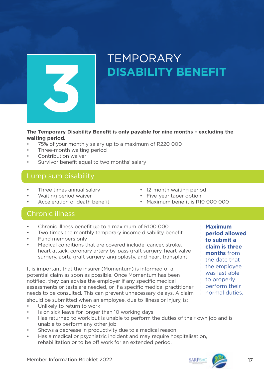

# **TFMPORARY**

**The Temporary Disability Benefit is only payable for nine months – excluding the waiting period.**

- 75% of your monthly salary up to a maximum of R220 000
- Three-month waiting period
- Contribution waiver
- Survivor benefit equal to two months' salary

### Lump sum disability

- Three times annual salary **•** 12-month waiting period<br>Waiting period waiver **•** Five-vear taper option
- 
- 
- 
- Five-year taper option
- Acceleration of death benefit Maximum benefit is R10 000 000

### Chronic illness

- Chronic illness benefit up to a maximum of R100 000
- Two times the monthly temporary income disability benefit
- Fund members only
- Medical conditions that are covered include; cancer, stroke, heart attack, coronary artery by-pass graft surgery, heart valve surgery, aorta graft surgery, angioplasty, and heart transplant

It is important that the insurer (Momentum) is informed of a potential claim as soon as possible. Once Momentum has been notified, they can advise the employer if any specific medical assessments or tests are needed, or if a specific medical practitioner needs to be consulted. This can prevent unnecessary delays. A claim should be submitted when an employee, due to illness or injury, is:

- Unlikely to return to work
- Is on sick leave for longer than 10 working days
- Has returned to work but is unable to perform the duties of their own job and is unable to perform any other job
- Shows a decrease in productivity due to a medical reason
- Has a medical or psychiatric incident and may require hospitalisation, rehabilitation or to be off work for an extended period.

**Maximum period allowed to submit a claim is three months** from the date that the employee was last able to properly perform their normal duties.

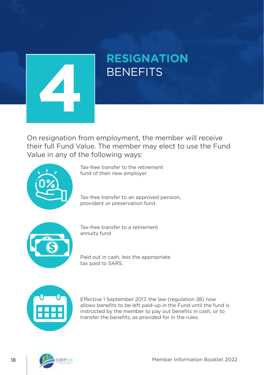

# **RESIGNATION**

On resignation from employment, the member will receive their full Fund Value. The member may elect to use the Fund Value in any of the following ways:



Tax-free transfer to the retirement fund of their new employer

Tax-free transfer to an approved pension, provident or preservation fund



Tax-free transfer to a retirement annuity fund

Paid out in cash, less the appropriate tax paid to SARS.



Effective 1 September 2017, the law (regulation 38) now allows benefits to be left paid-up in the Fund until the fund is instructed by the member to pay out benefits in cash, or to transfer the benefits, as provided for in the rules.

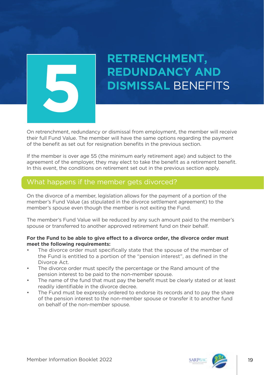

## **RETRENCHMENT, REDUNDANCY AND DISMISSAL BENEFITS**

On retrenchment, redundancy or dismissal from employment, the member will receive their full Fund Value. The member will have the same options regarding the payment of the benefit as set out for resignation benefits in the previous section.

If the member is over age 55 (the minimum early retirement age) and subject to the agreement of the employer, they may elect to take the benefit as a retirement benefit. In this event, the conditions on retirement set out in the previous section apply.

### What happens if the member gets divorced?

On the divorce of a member, legislation allows for the payment of a portion of the member's Fund Value (as stipulated in the divorce settlement agreement) to the member's spouse even though the member is not exiting the Fund.

The member's Fund Value will be reduced by any such amount paid to the member's spouse or transferred to another approved retirement fund on their behalf.

#### **For the Fund to be able to give effect to a divorce order, the divorce order must meet the following requirements:**

- The divorce order must specifically state that the spouse of the member of the Fund is entitled to a portion of the "pension interest", as defined in the Divorce Act.
- The divorce order must specify the percentage or the Rand amount of the pension interest to be paid to the non-member spouse.
- The name of the fund that must pay the benefit must be clearly stated or at least readily identifiable in the divorce decree.
- The Fund must be expressly ordered to endorse its records and to pay the share of the pension interest to the non-member spouse or transfer it to another fund on behalf of the non-member spouse.



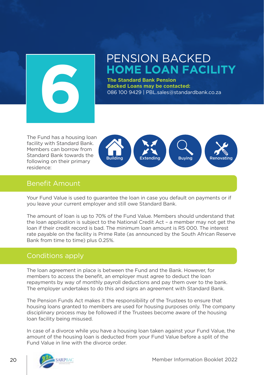

# **PENSION BACKED<br>HOME LOAN FACILITY**

**The Standard Bank Pension Backed Loans may be contacted:** 086 100 9429 | PBL.sales@standardbank.co.za

The Fund has a housing loan facility with Standard Bank. Members can borrow from Standard Bank towards the following on their primary residence:



### Benefit Amount

Your Fund Value is used to guarantee the loan in case you default on payments or if you leave your current employer and still owe Standard Bank.

The amount of loan is up to 70% of the Fund Value. Members should understand that the loan application is subject to the National Credit Act – a member may not get the loan if their credit record is bad. The minimum loan amount is R5 000. The interest rate payable on the facility is Prime Rate (as announced by the South African Reserve Bank from time to time) plus 0.25%.

### Conditions apply

The loan agreement in place is between the Fund and the Bank. However, for members to access the benefit, an employer must agree to deduct the loan repayments by way of monthly payroll deductions and pay them over to the bank. The employer undertakes to do this and signs an agreement with Standard Bank.

The Pension Funds Act makes it the responsibility of the Trustees to ensure that housing loans granted to members are used for housing purposes only. The company disciplinary process may be followed if the Trustees become aware of the housing loan facility being misused.

In case of a divorce while you have a housing loan taken against your Fund Value, the amount of the housing loan is deducted from your Fund Value before a split of the Fund Value in line with the divorce order.

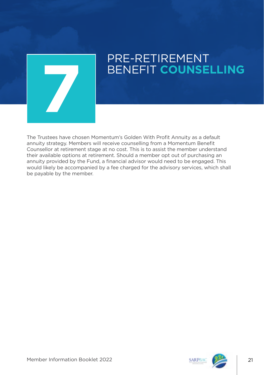

### PRE-RETIREMENT BENEFIT **COUNSELLING 7**

The Trustees have chosen Momentum's Golden With Profit Annuity as a default annuity strategy. Members will receive counselling from a Momentum Benefit Counsellor at retirement stage at no cost. This is to assist the member understand their available options at retirement. Should a member opt out of purchasing an annuity provided by the Fund, a financial advisor would need to be engaged. This would likely be accompanied by a fee charged for the advisory services, which shall be payable by the member.

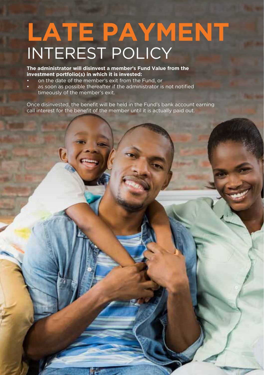## **LATE PAYMENT** INTEREST POLICY

**The administrator will disinvest a member's Fund Value from the investment portfolio(s) in which it is invested:**

- on the date of the member's exit from the Fund, or
- as soon as possible thereafter if the administrator is not notified timeously of the member's exit.

Once disinvested, the benefit will be held in the Fund's bank account earning call interest for the benefit of the member until it is actually paid out.

22 Member Information Booklet 2022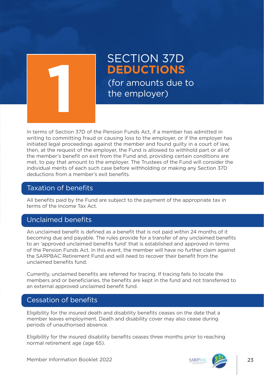

### SECTION 37D<br>DEDUCTIONS (for amounts due to the employer)

In terms of Section 37D of the Pension Funds Act, if a member has admitted in writing to committing fraud or causing loss to the employer, or if the employer has initiated legal proceedings against the member and found guilty in a court of law, then, at the request of the employer, the Fund is allowed to withhold part or all of the member's benefit on exit from the Fund and, providing certain conditions are met, to pay that amount to the employer. The Trustees of the Fund will consider the individual merits of each such case before withholding or making any Section 37D deductions from a member's exit benefits.

### Taxation of benefits

All benefits paid by the Fund are subject to the payment of the appropriate tax in terms of the Income Tax Act.

### Unclaimed benefits

An unclaimed benefit is defined as a benefit that is not paid within 24 months of it becoming due and payable. The rules provide for a transfer of any unclaimed benefits to an 'approved unclaimed benefits fund' that is established and approved in terms of the Pension Funds Act. In this event, the member will have no further claim against the SARPBAC Retirement Fund and will need to recover their benefit from the unclaimed benefits fund.

Currently, unclaimed benefits are referred for tracing. If tracing fails to locate the members and or beneficiaries, the benefits are kept in the fund and not transferred to an external approved unclaimed benefit fund.

### Cessation of benefits

Eligibility for the insured death and disability benefits ceases on the date that a member leaves employment. Death and disability cover may also cease during periods of unauthorised absence.

Eligibility for the insured disability benefits ceases three months prior to reaching normal retirement age (age 65).

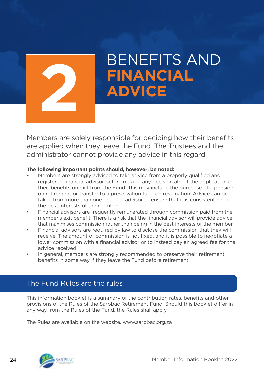

# BENEFITS AND **FINANCIAL 2 ADVICE**

Members are solely responsible for deciding how their benefits are applied when they leave the Fund. The Trustees and the administrator cannot provide any advice in this regard.

#### **The following important points should, however, be noted:**

- Members are strongly advised to take advice from a properly qualified and registered financial advisor before making any decision about the application of their benefits on exit from the Fund. This may include the purchase of a pension on retirement or transfer to a preservation fund on resignation. Advice can be taken from more than one financial advisor to ensure that it is consistent and in the best interests of the member.
- Financial advisors are frequently remunerated through commission paid from the member's exit benefit. There is a risk that the financial advisor will provide advice that maximises commission rather than being in the best interests of the member.
- Financial advisors are required by law to disclose the commission that they will receive. The amount of commission is not fixed, and it is possible to negotiate a lower commission with a financial advisor or to instead pay an agreed fee for the advice received.
- In general, members are strongly recommended to preserve their retirement benefits in some way if they leave the Fund before retirement.

### The Fund Rules are the rules

This information booklet is a summary of the contribution rates, benefits and other provisions of the Rules of the Sarpbac Retirement Fund. Should this booklet differ in any way from the Rules of the Fund, the Rules shall apply.

The Rules are available on the website. www.sarpbac.org.za

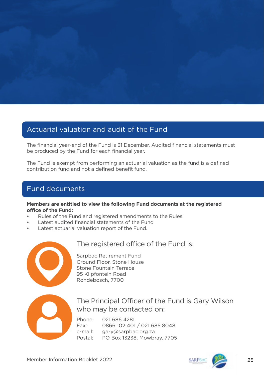

### Actuarial valuation and audit of the Fund

The financial year-end of the Fund is 31 December. Audited financial statements must be produced by the Fund for each financial year.

The Fund is exempt from performing an actuarial valuation as the fund is a defined contribution fund and not a defined benefit fund.

### Fund documents

#### **Members are entitled to view the following Fund documents at the registered office of the Fund:**

- Rules of the Fund and registered amendments to the Rules
- Latest audited financial statements of the Fund
- Latest actuarial valuation report of the Fund.



### The registered office of the Fund is:

Sarpbac Retirement Fund Ground Floor, Stone House Stone Fountain Terrace 95 Klipfontein Road Rondebosch, 7700



The Principal Officer of the Fund is Gary Wilson who may be contacted on:

Phone: 021 686 4281 Fax: 0866 102 401 / 021 685 8048 e-mail: gary@sarpbac.org.za Postal: PO Box 13238, Mowbray, 7705

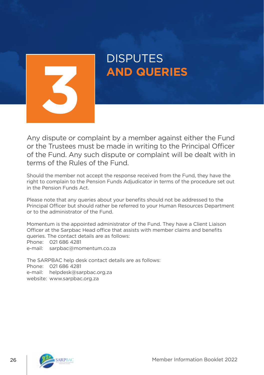

# DISPUTES

Any dispute or complaint by a member against either the Fund or the Trustees must be made in writing to the Principal Officer of the Fund. Any such dispute or complaint will be dealt with in terms of the Rules of the Fund.

Should the member not accept the response received from the Fund, they have the right to complain to the Pension Funds Adjudicator in terms of the procedure set out in the Pension Funds Act.

Please note that any queries about your benefits should not be addressed to the Principal Officer but should rather be referred to your Human Resources Department or to the administrator of the Fund.

Momentum is the appointed administrator of the Fund. They have a Client Liaison Officer at the Sarpbac Head office that assists with member claims and benefits queries. The contact details are as follows: Phone: 021 686 4281 e-mail: sarpbac@momentum.co.za

The SARPBAC help desk contact details are as follows: Phone: 021 686 4281 e-mail: helpdesk@sarpbac.org.za website: www.sarpbac.org.za

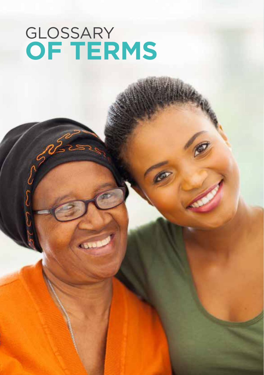## **OF TERMS** GLOSSARY

Member Information Booklet 2022 27:20 27:20 27:20 27:20 27:20 27:20 27:20 27:20 27:20 27:20 27:20 27:20 27:20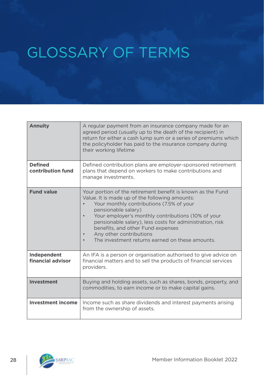### GLOSSARY OF TERMS

| <b>Annuity</b>                      | A regular payment from an insurance company made for an<br>agreed period (usually up to the death of the recipient) in<br>return for either a cash lump sum or a series of premiums which<br>the policyholder has paid to the insurance company during<br>their working lifetime                                                                                                                                                   |
|-------------------------------------|------------------------------------------------------------------------------------------------------------------------------------------------------------------------------------------------------------------------------------------------------------------------------------------------------------------------------------------------------------------------------------------------------------------------------------|
| <b>Defined</b><br>contribution fund | Defined contribution plans are employer-sponsored retirement<br>plans that depend on workers to make contributions and<br>manage investments.                                                                                                                                                                                                                                                                                      |
| <b>Fund value</b>                   | Your portion of the retirement benefit is known as the Fund<br>Value. It is made up of the following amounts:<br>Your monthly contributions (7.5% of your<br>pensionable salary)<br>Your employer's monthly contributions (10% of your<br>$\bullet$<br>pensionable salary), less costs for administration, risk<br>benefits, and other Fund expenses<br>Any other contributions<br>The investment returns earned on these amounts. |
| Independent<br>financial advisor    | An IFA is a person or organisation authorised to give advice on<br>financial matters and to sell the products of financial services<br>providers.                                                                                                                                                                                                                                                                                  |
| Investment                          | Buying and holding assets, such as shares, bonds, property, and<br>commodities, to earn income or to make capital gains.                                                                                                                                                                                                                                                                                                           |
| <b>Investment income</b>            | Income such as share dividends and interest payments arising<br>from the ownership of assets.                                                                                                                                                                                                                                                                                                                                      |

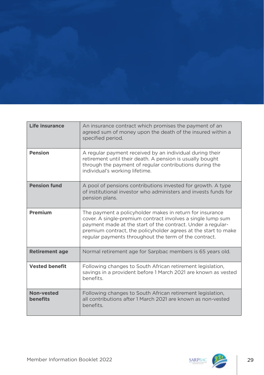| the property of the control of the control of the control of the control of the control of the control of the<br>ファイル アイディング ディー・ディー アイディー<br>the second control of the control of the control of the control of the control of the control of the control of<br>the company's company's company's company's company's company's company's company's company's company's company's<br><u>the company of the company of the company of the company of the company of the company of the company of the company of the company of the company of the company of the company of the company of the company of the company</u><br>the company of the company of the company of | <b>The Commission Commission Commission</b>                                                                     |                                                                                                               |
|----------------------------------------------------------------------------------------------------------------------------------------------------------------------------------------------------------------------------------------------------------------------------------------------------------------------------------------------------------------------------------------------------------------------------------------------------------------------------------------------------------------------------------------------------------------------------------------------------------------------------------------------------------------------------|-----------------------------------------------------------------------------------------------------------------|---------------------------------------------------------------------------------------------------------------|
| the contract of the contract of the contract of the contract of the contract of the contract of the contract of<br><b>The community of the Community</b>                                                                                                                                                                                                                                                                                                                                                                                                                                                                                                                   |                                                                                                                 | the property of the control of the control of the<br>and the control of the control of the                    |
|                                                                                                                                                                                                                                                                                                                                                                                                                                                                                                                                                                                                                                                                            | and the state of the state of the state of the state of the state of the state of the state of the state of the | a shekarar 1990 - An tsa shekarar 1990 - An tsa shekarar 1991 - An tsa shekarar 1991 - An tsa shekarar 1991 - |

| Life insurance         | An insurance contract which promises the payment of an<br>agreed sum of money upon the death of the insured within a<br>specified period.                                                                                                                                                                         |
|------------------------|-------------------------------------------------------------------------------------------------------------------------------------------------------------------------------------------------------------------------------------------------------------------------------------------------------------------|
| <b>Pension</b>         | A regular payment received by an individual during their<br>retirement until their death. A pension is usually bought<br>through the payment of regular contributions during the<br>individual's working lifetime.                                                                                                |
| <b>Pension fund</b>    | A pool of pensions contributions invested for growth. A type<br>of institutional investor who administers and invests funds for<br>pension plans.                                                                                                                                                                 |
| Premium                | The payment a policyholder makes in return for insurance<br>cover. A single-premium contract involves a single lump sum<br>payment made at the start of the contract. Under a regular-<br>premium contract, the policyholder agrees at the start to make<br>regular payments throughout the term of the contract. |
| <b>Retirement age</b>  | Normal retirement age for Sarpbac members is 65 years old.                                                                                                                                                                                                                                                        |
| <b>Vested benefit</b>  | Following changes to South African retirement legislation,<br>savings in a provident before 1 March 2021 are known as vested<br>benefits.                                                                                                                                                                         |
| Non-vested<br>benefits | Following changes to South African retirement legislation,<br>all contributions after 1 March 2021 are known as non-vested<br>benefits.                                                                                                                                                                           |

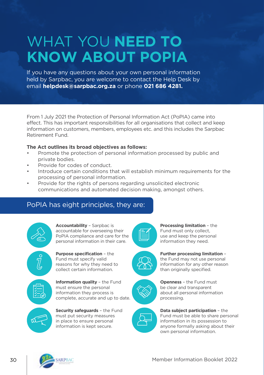### WHAT YOU **NEED TO KNOW ABOUT POPIA**

If you have any questions about your own personal information held by Sarpbac, you are welcome to contact the Help Desk by email **helpdesk@sarpbac.org.za** or phone **021 686 4281.**

From 1 July 2021 the Protection of Personal Information Act (PoPIA) came into effect. This has important responsibilities for all organisations that collect and keep information on customers, members, employees etc. and this includes the Sarpbac Retirement Fund.

#### **The Act outlines its broad objectives as follows:**

- Promote the protection of personal information processed by public and private bodies.
- Provide for codes of conduct.
- Introduce certain conditions that will establish minimum requirements for the processing of personal information.
- Provide for the rights of persons regarding unsolicited electronic communications and automated decision making, amongst others.

### PoPIA has eight principles, they are:

**Accountability** – Sarpbac is



accountable for overseeing their PoPIA compliance and care for the personal information in their care.



**Purpose specification** – the Fund must specify valid reasons for why they need to collect certain information.



**Information quality** – the Fund must ensure the personal information they process is complete, accurate and up to date.



**Security safeguards** – the Fund must put security measures in place to ensure personal information is kept secure.





**Further processing limitation** – the Fund may not use personal information for any other reason than originally specified.



**Openness** – the Fund must be clear and transparent about all personal information processing.

**Processing limitation** – the Fund must only collect, use and keep the personal information they need.



**Data subject participation** – the Fund must be able to share personal information in its possession to anyone formally asking about their own personal information.

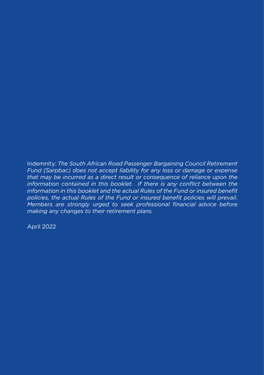Indemnity: *The South African Road Passenger Bargaining Council Retirement Fund (Sarpbac) does not accept liability for any loss or damage or expense that may be incurred as a direct result or consequence of reliance upon the*  information contained in this booklet. If there is any conflict between the *information in this booklet and the actual Rules of the Fund or insured benefit policies, the actual Rules of the Fund or insured benefit policies will prevail. Members are strongly urged to seek professional financial advice before making any changes to their retirement plans.*

April 2022